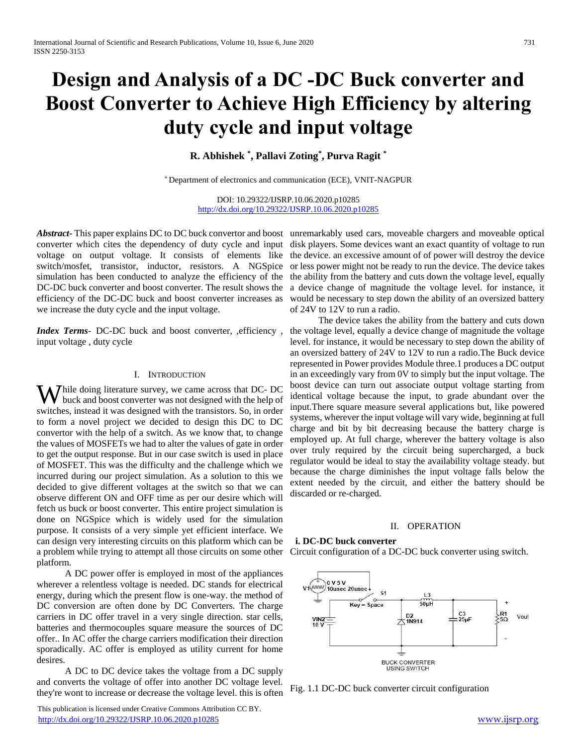# **Design and Analysis of a DC -DC Buck converter and Boost Converter to Achieve High Efficiency by altering duty cycle and input voltage**

**R. Abhishek \* , Pallavi Zoting\* , Purva Ragit \***

\* Department of electronics and communication (ECE), VNIT-NAGPUR

DOI: 10.29322/IJSRP.10.06.2020.p10285 <http://dx.doi.org/10.29322/IJSRP.10.06.2020.p10285>

switch/mosfet, transistor, inductor, resistors. A NGSpice simulation has been conducted to analyze the efficiency of the DC-DC buck converter and boost converter. The result shows the efficiency of the DC-DC buck and boost converter increases as we increase the duty cycle and the input voltage.

*Index Terms*- DC-DC buck and boost converter, ,efficiency , input voltage , duty cycle

#### I. INTRODUCTION

While doing literature survey, we came across that DC- DC buck and boost converter was not designed with the help of buck and boost converter was not designed with the help of switches, instead it was designed with the transistors. So, in order to form a novel project we decided to design this DC to DC convertor with the help of a switch. As we know that, to change the values of MOSFETs we had to alter the values of gate in order to get the output response. But in our case switch is used in place of MOSFET. This was the difficulty and the challenge which we incurred during our project simulation. As a solution to this we decided to give different voltages at the switch so that we can observe different ON and OFF time as per our desire which will fetch us buck or boost converter. This entire project simulation is done on NGSpice which is widely used for the simulation purpose. It consists of a very simple yet efficient interface. We can design very interesting circuits on this platform which can be a problem while trying to attempt all those circuits on some other platform.

 A DC power offer is employed in most of the appliances wherever a relentless voltage is needed. DC stands for electrical energy, during which the present flow is one-way. the method of DC conversion are often done by DC Converters. The charge carriers in DC offer travel in a very single direction. star cells, batteries and thermocouples square measure the sources of DC offer.. In AC offer the charge carriers modification their direction sporadically. AC offer is employed as utility current for home desires.

 A DC to DC device takes the voltage from a DC supply and converts the voltage of offer into another DC voltage level. they're wont to increase or decrease the voltage level. this is often

 This publication is licensed under Creative Commons Attribution CC BY. <http://dx.doi.org/10.29322/IJSRP.10.06.2020.p10285> [www.ijsrp.org](http://ijsrp.org/)

Abstract<sub>r</sub> This paper explains DC to DC buck convertor and boost unremarkably used cars, moveable chargers and moveable optical converter which cites the dependency of duty cycle and input disk players. Some devices want an exact quantity of voltage to run voltage on output voltage. It consists of elements like the device an excessive amount of of power will destroy the device or less power might not be ready to run the device. The device takes the ability from the battery and cuts down the voltage level, equally a device change of magnitude the voltage level. for instance, it would be necessary to step down the ability of an oversized battery of 24V to 12V to run a radio.

> The device takes the ability from the battery and cuts down the voltage level, equally a device change of magnitude the voltage level. for instance, it would be necessary to step down the ability of an oversized battery of 24V to 12V to run a radio.The Buck device represented in Power provides Module three.1 produces a DC output in an exceedingly vary from 0V to simply but the input voltage. The boost device can turn out associate output voltage starting from identical voltage because the input, to grade abundant over the input.There square measure several applications but, like powered systems, wherever the input voltage will vary wide, beginning at full charge and bit by bit decreasing because the battery charge is employed up. At full charge, wherever the battery voltage is also over truly required by the circuit being supercharged, a buck regulator would be ideal to stay the availability voltage steady. but because the charge diminishes the input voltage falls below the extent needed by the circuit, and either the battery should be discarded or re-charged.

# II. OPERATION

# **i. DC-DC buck converter**

Circuit configuration of a DC-DC buck converter using switch.



Fig. 1.1 DC-DC buck converter circuit configuration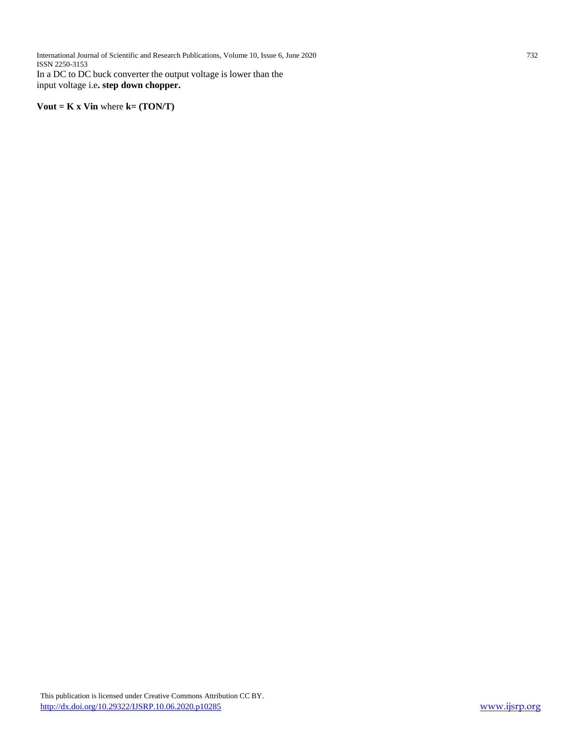International Journal of Scientific and Research Publications, Volume 10, Issue 6, June 2020 732 ISSN 2250-3153 In a DC to DC buck converter the output voltage is lower than the input voltage i.e**. step down chopper.**

**Vout = K x Vin** where **k= (TON/T)**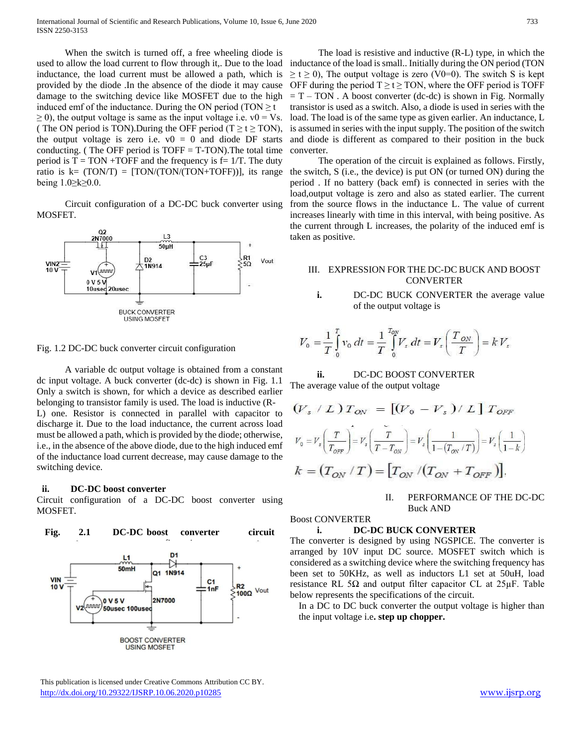When the switch is turned off, a free wheeling diode is used to allow the load current to flow through it,. Due to the load inductance, the load current must be allowed a path, which is provided by the diode .In the absence of the diode it may cause damage to the switching device like MOSFET due to the high induced emf of the inductance. During the ON period (TON  $\geq t$ )  $\geq$  0), the output voltage is same as the input voltage i.e. v0 = Vs. ( The ON period is TON). During the OFF period (T  $\geq t \geq$  TON), the output voltage is zero i.e.  $v0 = 0$  and diode DF starts conducting. (The OFF period is  $TOFF = T-TON$ ). The total time period is  $T = TON + TOFF$  and the frequency is  $f = 1/T$ . The duty ratio is  $k = (TON/T) = [TON/(TON/(TON+TOFF))]$ , its range being 1.0≥k≥0.0.

 Circuit configuration of a DC-DC buck converter using MOSFET.



Fig. 1.2 DC-DC buck converter circuit configuration

 A variable dc output voltage is obtained from a constant dc input voltage. A buck converter (dc-dc) is shown in Fig. 1.1 Only a switch is shown, for which a device as described earlier belonging to transistor family is used. The load is inductive (R-L) one. Resistor is connected in parallel with capacitor to discharge it. Due to the load inductance, the current across load must be allowed a path, which is provided by the diode; otherwise, i.e., in the absence of the above diode, due to the high induced emf of the inductance load current decrease, may cause damage to the switching device.

# **ii. DC-DC boost converter**

Circuit configuration of a DC-DC boost converter using MOSFET.



 This publication is licensed under Creative Commons Attribution CC BY. <http://dx.doi.org/10.29322/IJSRP.10.06.2020.p10285> [www.ijsrp.org](http://ijsrp.org/)

 The load is resistive and inductive (R-L) type, in which the inductance of the load is small.. Initially during the ON period (TON  $\geq t \geq 0$ ), The output voltage is zero (V0=0). The switch S is kept OFF during the period  $T \ge t \ge 7$ ON, where the OFF period is TOFF  $= T - TON$ . A boost converter (dc-dc) is shown in Fig. Normally transistor is used as a switch. Also, a diode is used in series with the load. The load is of the same type as given earlier. An inductance, L is assumed in series with the input supply. The position of the switch and diode is different as compared to their position in the buck converter.

 The operation of the circuit is explained as follows. Firstly, the switch, S (i.e., the device) is put ON (or turned ON) during the period . If no battery (back emf) is connected in series with the load,output voltage is zero and also as stated earlier. The current from the source flows in the inductance L. The value of current increases linearly with time in this interval, with being positive. As the current through L increases, the polarity of the induced emf is taken as positive.

# III. EXPRESSION FOR THE DC-DC BUCK AND BOOST CONVERTER

**i.** DC-DC BUCK CONVERTER the average value of the output voltage is

$$
V_0 = \frac{1}{T} \int_0^T v_0 \, dt = \frac{1}{T} \int_0^{T_{\text{OV}}} V_s \, dt = V_s \left( \frac{T_{\text{OV}}}{T} \right) = k V_s
$$

**ii.** DC-DC BOOST CONVERTER The average value of the output voltage

$$
\begin{aligned} \left(V_s \ / \ L\right) T_{\text{ON}} &= \left[\left(V_0 - V_s\right) / \ L\right] T_{\text{OFF}} \\ V_0 &= V_s \left(\frac{T}{T_{\text{OFF}}}\right) = V_s \left(\frac{T}{T - T_{\text{ON}}}\right) = V_s \left(\frac{1}{1 - \left(T_{\text{ON}} / T\right)}\right) = V_s \left(\frac{1}{1 - k}\right) \\ k &= \left(T_{\text{ON}} / T\right) = \left[T_{\text{ON}} / \left(T_{\text{ON}} + T_{\text{OFF}}\right)\right]. \end{aligned}
$$

II. PERFORMANCE OF THE DC-DC Buck AND

#### Boost CONVERTER

# **i. DC-DC BUCK CONVERTER**

The converter is designed by using NGSPICE. The converter is arranged by 10V input DC source. MOSFET switch which is considered as a switching device where the switching frequency has been set to 50KHz, as well as inductors L1 set at 50uH, load resistance RL 5 $\Omega$  and output filter capacitor CL at 25 $\mu$ F. Table below represents the specifications of the circuit.

In a DC to DC buck converter the output voltage is higher than the input voltage i.e**. step up chopper.**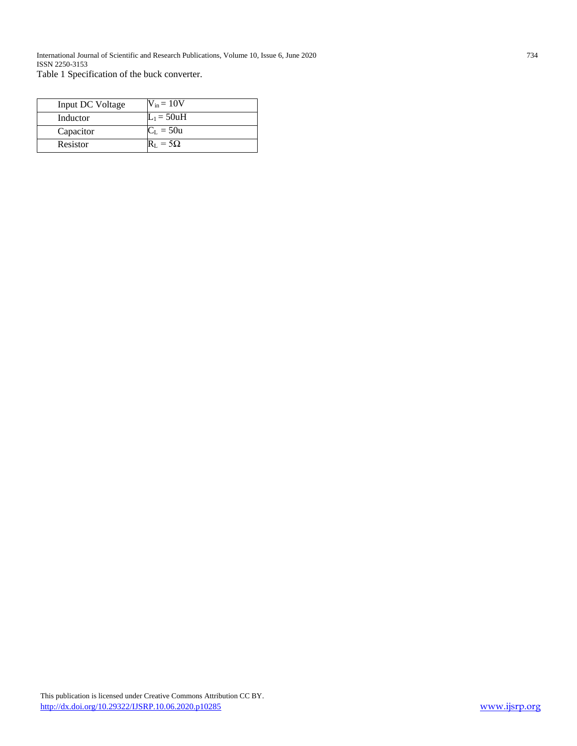International Journal of Scientific and Research Publications, Volume 10, Issue 6, June 2020 734 ISSN 2250-3153

Table 1 Specification of the buck converter.

| Input DC Voltage | $V_{in} = 10V$ |
|------------------|----------------|
| Inductor         | $L_1 = 50uH$   |
| Capacitor        | $C_L = 50u$    |
| Resistor         | $= 5\Omega$    |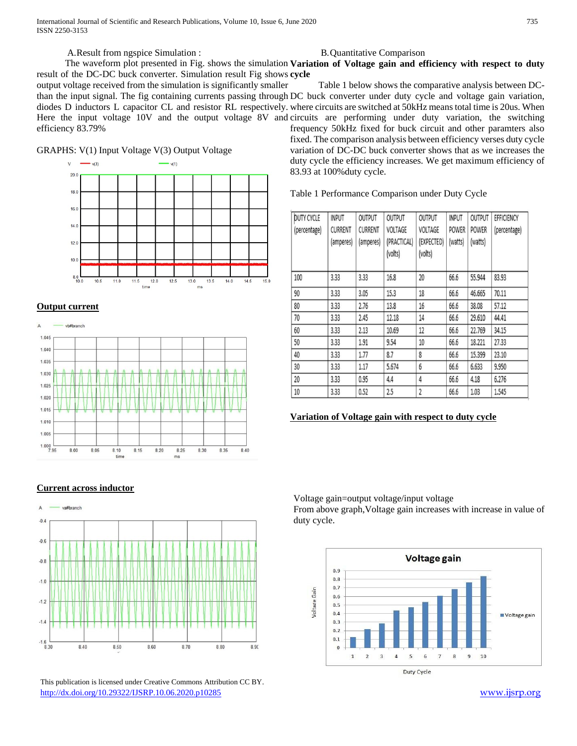International Journal of Scientific and Research Publications, Volume 10, Issue 6, June 2020 735 ISSN 2250-3153

A.Result from ngspice Simulation :

result of the DC-DC buck converter. Simulation result Fig shows **cycle**

output voltage received from the simulation is significantly smaller efficiency 83.79%

GRAPHS: V(1) Input Voltage V(3) Output Voltage



# **Output current**



# **Current across inductor**



 This publication is licensed under Creative Commons Attribution CC BY. <http://dx.doi.org/10.29322/IJSRP.10.06.2020.p10285> [www.ijsrp.org](http://ijsrp.org/)

#### B.Quantitative Comparison

The waveform plot presented in Fig. shows the simulation **Variation of Voltage gain and efficiency with respect to duty** 

than the input signal. The fig containing currents passing through DC buck converter under duty cycle and voltage gain variation, diodes D inductors L capacitor CL and resistor RL respectively. where circuits are switched at 50kHz means total time is 20us. When Here the input voltage 10V and the output voltage 8V and circuits are performing under duty variation, the switching Table 1 below shows the comparative analysis between DCfrequency 50kHz fixed for buck circuit and other paramters also fixed. The comparison analysis between efficiency verses duty cycle variation of DC-DC buck converter shows that as we increases the duty cycle the efficiency increases. We get maximum efficiency of 83.93 at 100%duty cycle.

Table 1 Performance Comparison under Duty Cycle

| <b>DUTY CYCLE</b><br>(percentage) | <b>INPUT</b><br><b>CURRENT</b><br>(amperes) | <b>OUTPUT</b><br><b>CURRENT</b><br>(amperes) | OUTPUT<br>VOLTAGE<br>(PRACTICAL) | OUTPUT<br>VOLTAGE<br>(EXPECTED) | <b>INPUT</b><br><b>POWER</b><br>(watts) | OUTPUT<br><b>POWER</b><br>(watts) | EFFICIENCY<br>(percentage) |
|-----------------------------------|---------------------------------------------|----------------------------------------------|----------------------------------|---------------------------------|-----------------------------------------|-----------------------------------|----------------------------|
|                                   |                                             |                                              | (volts)                          | (volts)                         |                                         |                                   |                            |
| 100                               | 3.33                                        | 3.33                                         | 16.8                             | 20                              | 66.6                                    | 55.944                            | 83.93                      |
| 90                                | 3.33                                        | 3.05                                         | 15.3                             | 18                              | 66.6                                    | 46.665                            | 70.11                      |
| 80                                | 3.33                                        | 2.76                                         | 13.8                             | 16                              | 66.6                                    | 38.08                             | 57.12                      |
| 70                                | 3.33                                        | 2.45                                         | 12.18                            | 14                              | 66.6                                    | 29.610                            | 44.41                      |
| 60                                | 3.33                                        | 2.13                                         | 10.69                            | 12                              | 66.6                                    | 22.769                            | 34.15                      |
| 50                                | 3.33                                        | 1.91                                         | 9.54                             | 10                              | 66.6                                    | 18.221                            | 27.33                      |
| 40                                | 3.33                                        | 1.77                                         | 8.7                              | 8                               | 66.6                                    | 15,399                            | 23.10                      |
| 30                                | 3.33                                        | 1.17                                         | 5.674                            | 6                               | 66.6                                    | 6.633                             | 9.950                      |
| 20                                | 3.33                                        | 0.95                                         | 4.4                              | 4                               | 66.6                                    | 4.18                              | 6.276                      |
| 10                                | 3.33                                        | 0.52                                         | 2.5                              | $\overline{2}$                  | 66.6                                    | 1.03                              | 1.545                      |

# **Variation of Voltage gain with respect to duty cycle**

Voltage gain=output voltage/input voltage

From above graph,Voltage gain increases with increase in value of duty cycle.

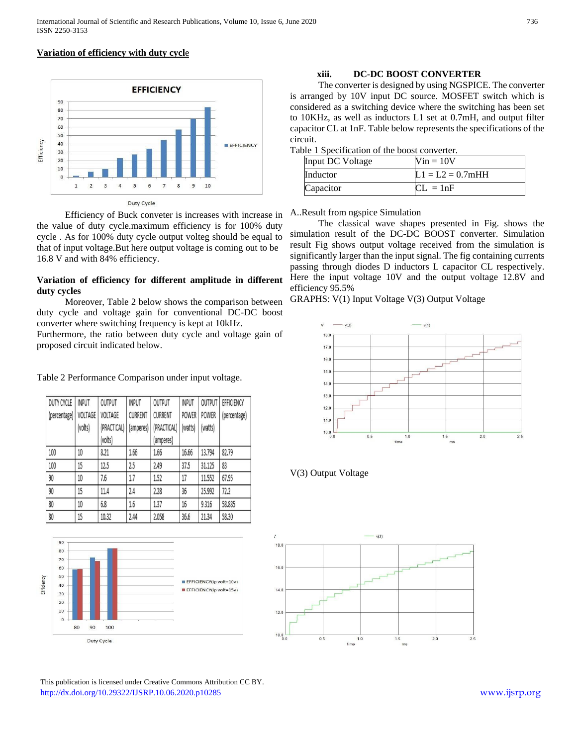# **Variation of efficiency with duty cycl**e



 Efficiency of Buck conveter is increases with increase in the value of duty cycle.maximum efficiency is for 100% duty cycle . As for 100% duty cycle output volteg should be equal to that of input voltage.But here output voltage is coming out to be 16.8 V and with 84% efficiency.

# **Variation of efficiency for different amplitude in different duty cycles**

 Moreover, Table 2 below shows the comparison between duty cycle and voltage gain for conventional DC-DC boost converter where switching frequency is kept at 10kHz.

Furthermore, the ratio between duty cycle and voltage gain of proposed circuit indicated below.

#### Table 2 Performance Comparison under input voltage.

| <b>DUTY CYCLE</b> | <b>INPUT</b> | OUTPUT      | <b>INPUT</b> | OUTPUT         | <b>INPUT</b> | <b>OUTPUT</b> | EFFICIENCY   |
|-------------------|--------------|-------------|--------------|----------------|--------------|---------------|--------------|
| (percentage)      | VOLTAGE      | VOLTAGE     | CURRENT      | <b>CURRENT</b> | <b>POWER</b> | POWER         | (percentage) |
|                   | (volts)      | (PRACTICAL) | (amperes)    | (PRACTICAL)    | (watts)      | (watts)       |              |
|                   |              | (volts)     |              | (amperes)      |              |               |              |
| 100               | 10           | 8.21        | 1.66         | 1.66           | 16.66        | 13.794        | 82.79        |
| 100               | 15           | 12.5        | 2.5          | 2.49           | 37.5         | 31.125        | 83           |
| 90                | 10           | 7.6         | 1.7          | 1.52           | 17           | 11.552        | 67.95        |
| 90                | 15           | 11.4        | 2.4          | 2.28           | 36           | 25.992        | 72.2         |
| 80                | 10           | 6.8         | 1.6          | 1.37           | 16           | 9.316         | 58.885       |
| 80                | 15           | 10.32       | 2.44         | 2.058          | 36.6         | 21.34         | 58.30        |



 This publication is licensed under Creative Commons Attribution CC BY. <http://dx.doi.org/10.29322/IJSRP.10.06.2020.p10285> [www.ijsrp.org](http://ijsrp.org/)

#### **xiii. DC-DC BOOST CONVERTER**

 The converter is designed by using NGSPICE. The converter is arranged by 10V input DC source. MOSFET switch which is considered as a switching device where the switching has been set to 10KHz, as well as inductors L1 set at 0.7mH, and output filter capacitor CL at 1nF. Table below represents the specifications of the circuit.

| Table 1 Specification of the boost converter. |  |
|-----------------------------------------------|--|
|-----------------------------------------------|--|

| Input DC Voltage | $Vin = 10V$        |
|------------------|--------------------|
| Inductor         | $L1 = L2 = 0.7mHH$ |
| Capacitor        | $CL = 1nF$         |

#### A..Result from ngspice Simulation

 The classical wave shapes presented in Fig. shows the simulation result of the DC-DC BOOST converter. Simulation result Fig shows output voltage received from the simulation is significantly larger than the input signal. The fig containing currents passing through diodes D inductors L capacitor CL respectively. Here the input voltage 10V and the output voltage 12.8V and efficiency 95.5%

GRAPHS: V(1) Input Voltage V(3) Output Voltage



# V(3) Output Voltage

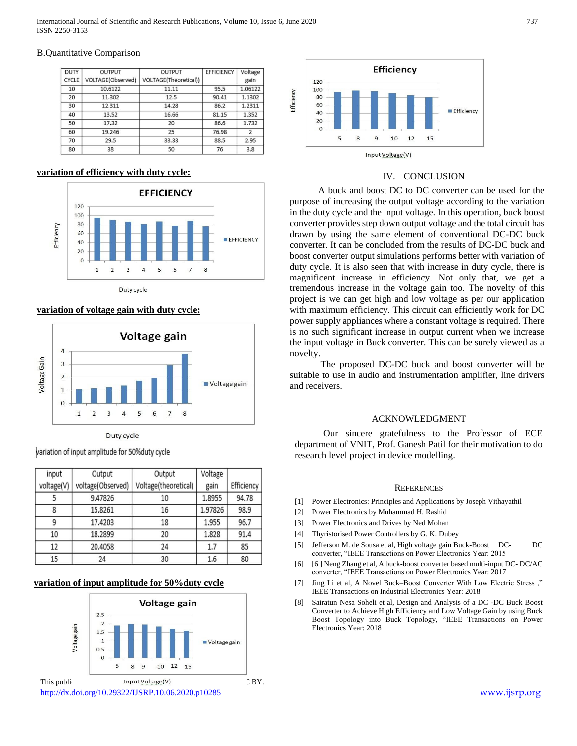International Journal of Scientific and Research Publications, Volume 10, Issue 6, June 2020 737 ISSN 2250-3153

#### B.Quantitative Comparison

| <b>DUTY</b>  | <b>OUTPUT</b>     | <b>OUTPUT</b>         | <b>EFFICIENCY</b> | Voltage                  |
|--------------|-------------------|-----------------------|-------------------|--------------------------|
| <b>CYCLE</b> | VOLTAGE(Observed) | VOLTAGE(Theoretical)) |                   | gain                     |
| 10           | 10.6122           | 11.11                 | 95.5              | 1.06122                  |
| 20           | 11.302            | 12.5                  | 90.41             | 1.1302                   |
| 30           | 12.311            | 14.28                 | 86.2              | 1.2311                   |
| 40           | 13.52             | 16.66                 | 81.15             | 1.352                    |
| 50           | 17.32             | 20                    | 86.6              | 1.732                    |
| 60           | 19.246            | 25                    | 76.98             | $\overline{\phantom{a}}$ |
| 70           | 29.5              | 33.33                 | 88.5              | 2.95                     |
| 80           | 38                | 50                    | 76                | 3.8                      |

# **variation of efficiency with duty cycle:**



#### Duty cycle

### **variation of voltage gain with duty cycle:**



Duty cycle

variation of input amplitude for 50% duty cycle

| input      | Output            | Output               | Voltage |            |
|------------|-------------------|----------------------|---------|------------|
| voltage(V) | voltage(Observed) | Voltage(theoretical) | gain    | Efficiency |
|            | 9.47826           | 10                   | 1.8955  | 94.78      |
| 8          | 15.8261           | 16                   | 1.97826 | 98.9       |
| 9          | 17.4203           | 18                   | 1.955   | 96.7       |
| 10         | 18.2899           | 20                   | 1.828   | 91.4       |
| 12         | 20.4058           | 24                   | 1.7     | 85         |
| 15         | 24                | 30                   | 1.6     | 80         |

#### **variation of input amplitude for 50%duty cycle**





#### IV. CONCLUSION

 A buck and boost DC to DC converter can be used for the purpose of increasing the output voltage according to the variation in the duty cycle and the input voltage. In this operation, buck boost converter provides step down output voltage and the total circuit has drawn by using the same element of conventional DC-DC buck converter. It can be concluded from the results of DC-DC buck and boost converter output simulations performs better with variation of duty cycle. It is also seen that with increase in duty cycle, there is magnificent increase in efficiency. Not only that, we get a tremendous increase in the voltage gain too. The novelty of this project is we can get high and low voltage as per our application with maximum efficiency. This circuit can efficiently work for DC power supply appliances where a constant voltage is required. There is no such significant increase in output current when we increase the input voltage in Buck converter. This can be surely viewed as a novelty.

 The proposed DC-DC buck and boost converter will be suitable to use in audio and instrumentation amplifier, line drivers and receivers.

### ACKNOWLEDGMENT

 Our sincere gratefulness to the Professor of ECE department of VNIT, Prof. Ganesh Patil for their motivation to do research level project in device modelling.

#### **REFERENCES**

- [1] Power Electronics: Principles and Applications by Joseph Vithayathil
- [2] Power Electronics by Muhammad H. Rashid
- [3] Power Electronics and Drives by Ned Mohan
- [4] Thyristorised Power Controllers by G. K. Dubey
- [5] Jefferson M. de Sousa et al, High voltage gain Buck-Boost DC- DC converter, "IEEE Transactions on Power Electronics Year: 2015
- [6] [6 ] Neng Zhang et al, A buck-boost converter based multi-input DC- DC/AC converter, "IEEE Transactions on Power Electronics Year: 2017
- [7] Jing Li et al, A Novel Buck–Boost Converter With Low Electric Stress ," IEEE Transactions on Industrial Electronics Year: 2018
- [8] Sairatun Nesa Soheli et al, Design and Analysis of a DC -DC Buck Boost Converter to Achieve High Efficiency and Low Voltage Gain by using Buck Boost Topology into Buck Topology, "IEEE Transactions on Power Electronics Year: 2018